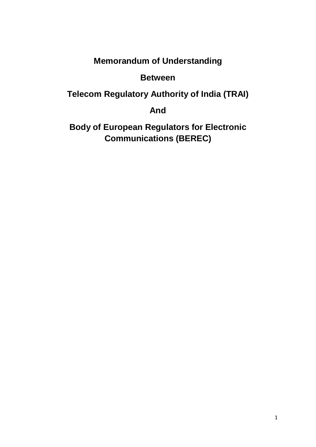# **Memorandum of Understanding**

# **Between**

**Telecom Regulatory Authority of India (TRAI)**

**And**

**Body of European Regulators for Electronic Communications (BEREC)**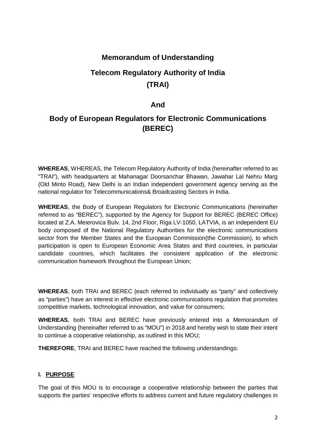## **Memorandum of Understanding**

# **Telecom Regulatory Authority of India (TRAI)**

## **And**

# **Body of European Regulators for Electronic Communications (BEREC)**

**WHEREAS**, WHEREAS, the Telecom Regulatory Authority of India (hereinafter referred to as "TRAI"), with headquarters at Mahanagar Doorsanchar Bhawan, Jawahar Lal Nehru Marg (Old Minto Road), New Delhi is an Indian independent government agency serving as the national regulator for Telecommunications& Broadcasting Sectors in India.

**WHEREAS**, the Body of European Regulators for Electronic Communications (hereinafter referred to as "BEREC"), supported by the Agency for Support for BEREC (BEREC Office) located at Z.A. Meierovica Bulv. 14, 2nd Floor, Riga LV-1050, LATVIA, is an independent EU body composed of the National Regulatory Authorities for the electronic communications sector from the Member States and the European Commission(the Commission), to which participation is open to European Economic Area States and third countries, in particular candidate countries, which facilitates the consistent application of the electronic communication framework throughout the European Union;

**WHEREAS**, both TRAI and BEREC (each referred to individually as "party" and collectively as "parties") have an interest in effective electronic communications regulation that promotes competitive markets, technological innovation, and value for consumers;

**WHEREAS**, both TRAI and BEREC have previously entered into a Memorandum of Understanding (hereinafter referred to as "MOU") in 2018 and hereby wish to state their intent to continue a cooperative relationship, as outlined in this MOU;

**THEREFORE**, TRAI and BEREC have reached the following understandings:

## **I. PURPOSE**

The goal of this MOU is to encourage a cooperative relationship between the parties that supports the parties' respective efforts to address current and future regulatory challenges in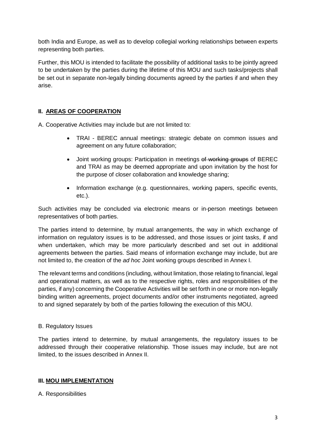both India and Europe, as well as to develop collegial working relationships between experts representing both parties.

Further, this MOU is intended to facilitate the possibility of additional tasks to be jointly agreed to be undertaken by the parties during the lifetime of this MOU and such tasks/projects shall be set out in separate non-legally binding documents agreed by the parties if and when they arise.

## **II. AREAS OF COOPERATION**

A. Cooperative Activities may include but are not limited to:

- TRAI BEREC annual meetings: strategic debate on common issues and agreement on any future collaboration;
- Joint working groups: Participation in meetings of working groups of BEREC and TRAI as may be deemed appropriate and upon invitation by the host for the purpose of closer collaboration and knowledge sharing;
- Information exchange (e.g. questionnaires, working papers, specific events, etc.).

Such activities may be concluded via electronic means or in-person meetings between representatives of both parties.

The parties intend to determine, by mutual arrangements, the way in which exchange of information on regulatory issues is to be addressed, and those issues or joint tasks, if and when undertaken, which may be more particularly described and set out in additional agreements between the parties. Said means of information exchange may include, but are not limited to, the creation of the *ad hoc* Joint working groups described in Annex I.

The relevant terms and conditions (including, without limitation, those relating to financial, legal and operational matters, as well as to the respective rights, roles and responsibilities of the parties, if any) concerning the Cooperative Activities will be set forth in one or more non-legally binding written agreements, project documents and/or other instruments negotiated, agreed to and signed separately by both of the parties following the execution of this MOU.

#### B. Regulatory Issues

The parties intend to determine, by mutual arrangements, the regulatory issues to be addressed through their cooperative relationship. Those issues may include, but are not limited, to the issues described in Annex II.

#### **III. MOU IMPLEMENTATION**

A. Responsibilities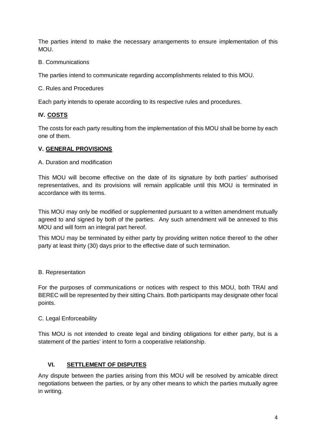The parties intend to make the necessary arrangements to ensure implementation of this MOU.

B. Communications

The parties intend to communicate regarding accomplishments related to this MOU.

C. Rules and Procedures

Each party intends to operate according to its respective rules and procedures.

#### **IV. COSTS**

The costs for each party resulting from the implementation of this MOU shall be borne by each one of them.

#### **V. GENERAL PROVISIONS**

A. Duration and modification

This MOU will become effective on the date of its signature by both parties' authorised representatives, and its provisions will remain applicable until this MOU is terminated in accordance with its terms.

This MOU may only be modified or supplemented pursuant to a written amendment mutually agreed to and signed by both of the parties. Any such amendment will be annexed to this MOU and will form an integral part hereof.

This MOU may be terminated by either party by providing written notice thereof to the other party at least thirty (30) days prior to the effective date of such termination.

B. Representation

For the purposes of communications or notices with respect to this MOU, both TRAI and BEREC will be represented by their sitting Chairs. Both participants may designate other focal points.

#### C. Legal Enforceability

This MOU is not intended to create legal and binding obligations for either party, but is a statement of the parties' intent to form a cooperative relationship.

#### **VI. SETTLEMENT OF DISPUTES**

Any dispute between the parties arising from this MOU will be resolved by amicable direct negotiations between the parties, or by any other means to which the parties mutually agree in writing.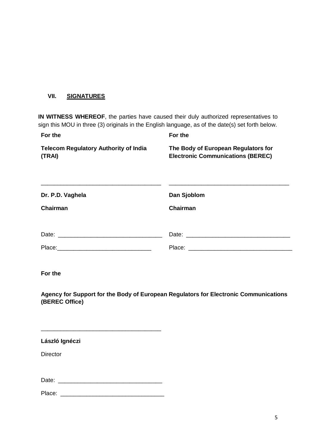#### **VII. SIGNATURES**

**IN WITNESS WHEREOF**, the parties have caused their duly authorized representatives to sign this MOU in three (3) originals in the English language, as of the date(s) set forth below.

| For the                                                                         |
|---------------------------------------------------------------------------------|
| The Body of European Regulators for<br><b>Electronic Communications (BEREC)</b> |
| Dan Sjoblom<br>Chairman                                                         |
|                                                                                 |
|                                                                                 |

**For the**

**Agency for Support for the Body of European Regulators for Electronic Communications (BEREC Office)**

| László Ignéczi  |
|-----------------|
| <b>Director</b> |
|                 |
|                 |
| Place:          |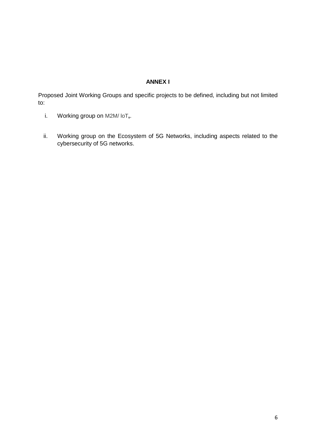### **ANNEX I**

Proposed Joint Working Groups and specific projects to be defined, including but not limited to:

- i. Working group on M2M/ loT**,**.
- ii. Working group on the Ecosystem of 5G Networks, including aspects related to the cybersecurity of 5G networks.